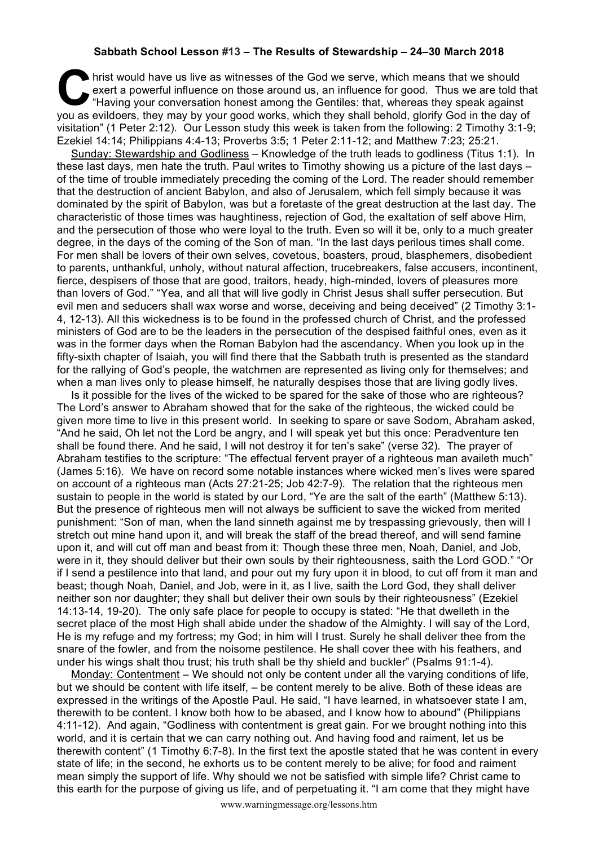## **Sabbath School Lesson #13 – The Results of Stewardship – 24–30 March 2018**

hrist would have us live as witnesses of the God we serve, which means that we should exert a powerful influence on those around us, an influence for good. Thus we are told the Having your conversation honest among the Gen exert a powerful influence on those around us, an influence for good. Thus we are told that "Having your conversation honest among the Gentiles: that, whereas they speak against you as evildoers, they may by your good works, which they shall behold, glorify God in the day of visitation" (1 Peter 2:12). Our Lesson study this week is taken from the following: 2 Timothy 3:1-9; Ezekiel 14:14; Philippians 4:4-13; Proverbs 3:5; 1 Peter 2:11-12; and Matthew 7:23; 25:21.

Sunday: Stewardship and Godliness – Knowledge of the truth leads to godliness (Titus 1:1). In these last days, men hate the truth. Paul writes to Timothy showing us a picture of the last days – of the time of trouble immediately preceding the coming of the Lord. The reader should remember that the destruction of ancient Babylon, and also of Jerusalem, which fell simply because it was dominated by the spirit of Babylon, was but a foretaste of the great destruction at the last day. The characteristic of those times was haughtiness, rejection of God, the exaltation of self above Him, and the persecution of those who were loyal to the truth. Even so will it be, only to a much greater degree, in the days of the coming of the Son of man. "In the last days perilous times shall come. For men shall be lovers of their own selves, covetous, boasters, proud, blasphemers, disobedient to parents, unthankful, unholy, without natural affection, trucebreakers, false accusers, incontinent, fierce, despisers of those that are good, traitors, heady, high-minded, lovers of pleasures more than lovers of God." "Yea, and all that will live godly in Christ Jesus shall suffer persecution. But evil men and seducers shall wax worse and worse, deceiving and being deceived" (2 Timothy 3:1- 4, 12-13). All this wickedness is to be found in the professed church of Christ, and the professed ministers of God are to be the leaders in the persecution of the despised faithful ones, even as it was in the former days when the Roman Babylon had the ascendancy. When you look up in the fifty-sixth chapter of Isaiah, you will find there that the Sabbath truth is presented as the standard for the rallying of God's people, the watchmen are represented as living only for themselves; and when a man lives only to please himself, he naturally despises those that are living godly lives.

Is it possible for the lives of the wicked to be spared for the sake of those who are righteous? The Lord's answer to Abraham showed that for the sake of the righteous, the wicked could be given more time to live in this present world. In seeking to spare or save Sodom, Abraham asked, "And he said, Oh let not the Lord be angry, and I will speak yet but this once: Peradventure ten shall be found there. And he said, I will not destroy it for ten's sake" (verse 32). The prayer of Abraham testifies to the scripture: "The effectual fervent prayer of a righteous man availeth much" (James 5:16). We have on record some notable instances where wicked men's lives were spared on account of a righteous man (Acts 27:21-25; Job 42:7-9). The relation that the righteous men sustain to people in the world is stated by our Lord, "Ye are the salt of the earth" (Matthew 5:13). But the presence of righteous men will not always be sufficient to save the wicked from merited punishment: "Son of man, when the land sinneth against me by trespassing grievously, then will I stretch out mine hand upon it, and will break the staff of the bread thereof, and will send famine upon it, and will cut off man and beast from it: Though these three men, Noah, Daniel, and Job, were in it, they should deliver but their own souls by their righteousness, saith the Lord GOD." "Or if I send a pestilence into that land, and pour out my fury upon it in blood, to cut off from it man and beast; though Noah, Daniel, and Job, were in it, as I live, saith the Lord God, they shall deliver neither son nor daughter; they shall but deliver their own souls by their righteousness" (Ezekiel 14:13-14, 19-20). The only safe place for people to occupy is stated: "He that dwelleth in the secret place of the most High shall abide under the shadow of the Almighty. I will say of the Lord, He is my refuge and my fortress; my God; in him will I trust. Surely he shall deliver thee from the snare of the fowler, and from the noisome pestilence. He shall cover thee with his feathers, and under his wings shalt thou trust; his truth shall be thy shield and buckler" (Psalms 91:1-4).

Monday: Contentment – We should not only be content under all the varying conditions of life, but we should be content with life itself, – be content merely to be alive. Both of these ideas are expressed in the writings of the Apostle Paul. He said, "I have learned, in whatsoever state I am, therewith to be content. I know both how to be abased, and I know how to abound" (Philippians 4:11-12). And again, "Godliness with contentment is great gain. For we brought nothing into this world, and it is certain that we can carry nothing out. And having food and raiment, let us be therewith content" (1 Timothy 6:7-8). In the first text the apostle stated that he was content in every state of life; in the second, he exhorts us to be content merely to be alive; for food and raiment mean simply the support of life. Why should we not be satisfied with simple life? Christ came to this earth for the purpose of giving us life, and of perpetuating it. "I am come that they might have